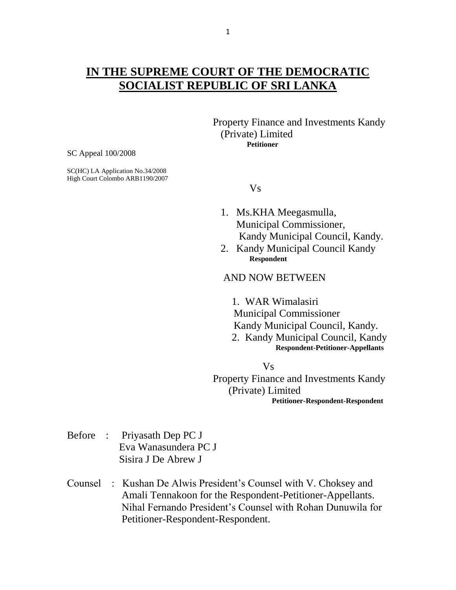Property Finance and Investments Kandy (Private) Limited **Petitioner**

SC Appeal 100/2008

SC(HC) LA Application No.34/2008 High Court Colombo ARB1190/2007

Vs

- 1. Ms.KHA Meegasmulla, Municipal Commissioner, Kandy Municipal Council, Kandy.
- 2. Kandy Municipal Council Kandy **Respondent**

## AND NOW BETWEEN

1. WAR Wimalasiri Municipal Commissioner Kandy Municipal Council, Kandy. 2. Kandy Municipal Council, Kandy  **Respondent-Petitioner-Appellants**

Vs

 Property Finance and Investments Kandy (Private) Limited  **Petitioner-Respondent-Respondent** 

- Before : Priyasath Dep PC J Eva Wanasundera PC J Sisira J De Abrew J
- Counsel : Kushan De Alwis President's Counsel with V. Choksey and Amali Tennakoon for the Respondent-Petitioner-Appellants. Nihal Fernando President's Counsel with Rohan Dunuwila for Petitioner-Respondent-Respondent.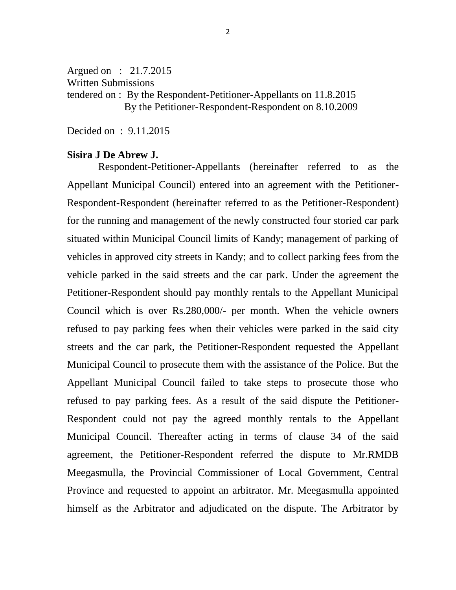Argued on : 21.7.2015 Written Submissions tendered on : By the Respondent-Petitioner-Appellants on 11.8.2015 By the Petitioner-Respondent-Respondent on 8.10.2009

Decided on : 9.11.2015

## **Sisira J De Abrew J.**

 Respondent-Petitioner-Appellants (hereinafter referred to as the Appellant Municipal Council) entered into an agreement with the Petitioner-Respondent-Respondent (hereinafter referred to as the Petitioner-Respondent) for the running and management of the newly constructed four storied car park situated within Municipal Council limits of Kandy; management of parking of vehicles in approved city streets in Kandy; and to collect parking fees from the vehicle parked in the said streets and the car park. Under the agreement the Petitioner-Respondent should pay monthly rentals to the Appellant Municipal Council which is over Rs.280,000/- per month. When the vehicle owners refused to pay parking fees when their vehicles were parked in the said city streets and the car park, the Petitioner-Respondent requested the Appellant Municipal Council to prosecute them with the assistance of the Police. But the Appellant Municipal Council failed to take steps to prosecute those who refused to pay parking fees. As a result of the said dispute the Petitioner-Respondent could not pay the agreed monthly rentals to the Appellant Municipal Council. Thereafter acting in terms of clause 34 of the said agreement, the Petitioner-Respondent referred the dispute to Mr.RMDB Meegasmulla, the Provincial Commissioner of Local Government, Central Province and requested to appoint an arbitrator. Mr. Meegasmulla appointed himself as the Arbitrator and adjudicated on the dispute. The Arbitrator by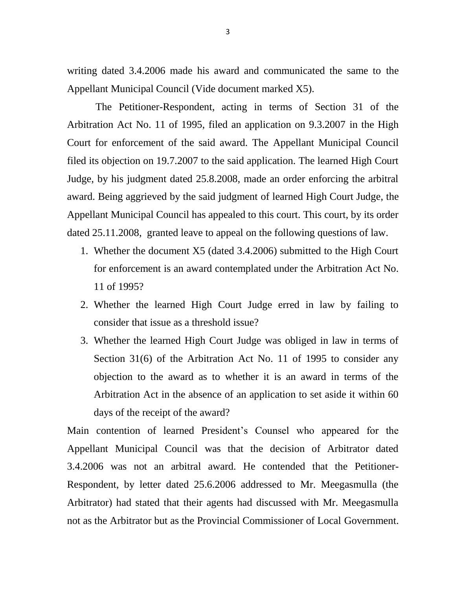writing dated 3.4.2006 made his award and communicated the same to the Appellant Municipal Council (Vide document marked X5).

 The Petitioner-Respondent, acting in terms of Section 31 of the Arbitration Act No. 11 of 1995, filed an application on 9.3.2007 in the High Court for enforcement of the said award. The Appellant Municipal Council filed its objection on 19.7.2007 to the said application. The learned High Court Judge, by his judgment dated 25.8.2008, made an order enforcing the arbitral award. Being aggrieved by the said judgment of learned High Court Judge, the Appellant Municipal Council has appealed to this court. This court, by its order dated 25.11.2008, granted leave to appeal on the following questions of law.

- 1. Whether the document X5 (dated 3.4.2006) submitted to the High Court for enforcement is an award contemplated under the Arbitration Act No. 11 of 1995?
- 2. Whether the learned High Court Judge erred in law by failing to consider that issue as a threshold issue?
- 3. Whether the learned High Court Judge was obliged in law in terms of Section 31(6) of the Arbitration Act No. 11 of 1995 to consider any objection to the award as to whether it is an award in terms of the Arbitration Act in the absence of an application to set aside it within 60 days of the receipt of the award?

Main contention of learned President's Counsel who appeared for the Appellant Municipal Council was that the decision of Arbitrator dated 3.4.2006 was not an arbitral award. He contended that the Petitioner-Respondent, by letter dated 25.6.2006 addressed to Mr. Meegasmulla (the Arbitrator) had stated that their agents had discussed with Mr. Meegasmulla not as the Arbitrator but as the Provincial Commissioner of Local Government.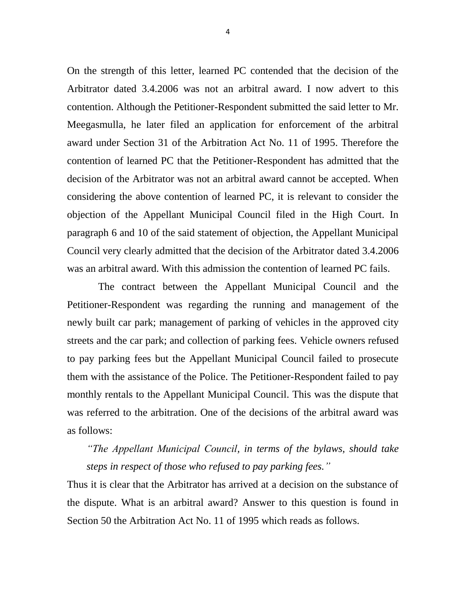On the strength of this letter, learned PC contended that the decision of the Arbitrator dated 3.4.2006 was not an arbitral award. I now advert to this contention. Although the Petitioner-Respondent submitted the said letter to Mr. Meegasmulla, he later filed an application for enforcement of the arbitral award under Section 31 of the Arbitration Act No. 11 of 1995. Therefore the contention of learned PC that the Petitioner-Respondent has admitted that the decision of the Arbitrator was not an arbitral award cannot be accepted. When considering the above contention of learned PC, it is relevant to consider the objection of the Appellant Municipal Council filed in the High Court. In paragraph 6 and 10 of the said statement of objection, the Appellant Municipal Council very clearly admitted that the decision of the Arbitrator dated 3.4.2006 was an arbitral award. With this admission the contention of learned PC fails.

 The contract between the Appellant Municipal Council and the Petitioner-Respondent was regarding the running and management of the newly built car park; management of parking of vehicles in the approved city streets and the car park; and collection of parking fees. Vehicle owners refused to pay parking fees but the Appellant Municipal Council failed to prosecute them with the assistance of the Police. The Petitioner-Respondent failed to pay monthly rentals to the Appellant Municipal Council. This was the dispute that was referred to the arbitration. One of the decisions of the arbitral award was as follows:

## *"The Appellant Municipal Council, in terms of the bylaws, should take steps in respect of those who refused to pay parking fees."*

Thus it is clear that the Arbitrator has arrived at a decision on the substance of the dispute. What is an arbitral award? Answer to this question is found in Section 50 the Arbitration Act No. 11 of 1995 which reads as follows.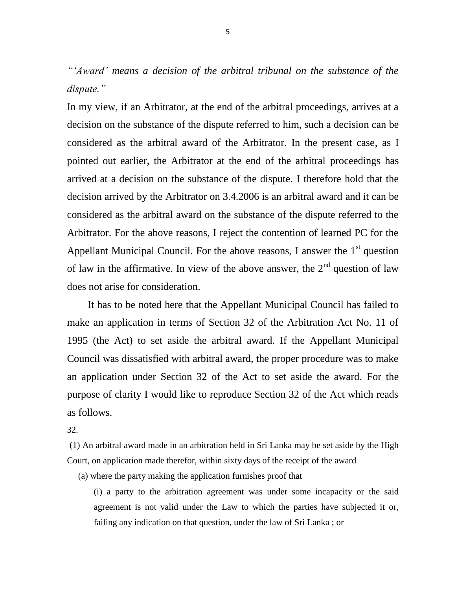*""Award" means a decision of the arbitral tribunal on the substance of the dispute."* 

In my view, if an Arbitrator, at the end of the arbitral proceedings, arrives at a decision on the substance of the dispute referred to him, such a decision can be considered as the arbitral award of the Arbitrator. In the present case, as I pointed out earlier, the Arbitrator at the end of the arbitral proceedings has arrived at a decision on the substance of the dispute. I therefore hold that the decision arrived by the Arbitrator on 3.4.2006 is an arbitral award and it can be considered as the arbitral award on the substance of the dispute referred to the Arbitrator. For the above reasons, I reject the contention of learned PC for the Appellant Municipal Council. For the above reasons, I answer the  $1<sup>st</sup>$  question of law in the affirmative. In view of the above answer, the  $2<sup>nd</sup>$  question of law does not arise for consideration.

 It has to be noted here that the Appellant Municipal Council has failed to make an application in terms of Section 32 of the Arbitration Act No. 11 of 1995 (the Act) to set aside the arbitral award. If the Appellant Municipal Council was dissatisfied with arbitral award, the proper procedure was to make an application under Section 32 of the Act to set aside the award. For the purpose of clarity I would like to reproduce Section 32 of the Act which reads as follows.

32.

(1) An arbitral award made in an arbitration held in Sri Lanka may be set aside by the High Court, on application made therefor, within sixty days of the receipt of the award

(a) where the party making the application furnishes proof that

(i) a party to the arbitration agreement was under some incapacity or the said agreement is not valid under the Law to which the parties have subjected it or, failing any indication on that question, under the law of Sri Lanka ; or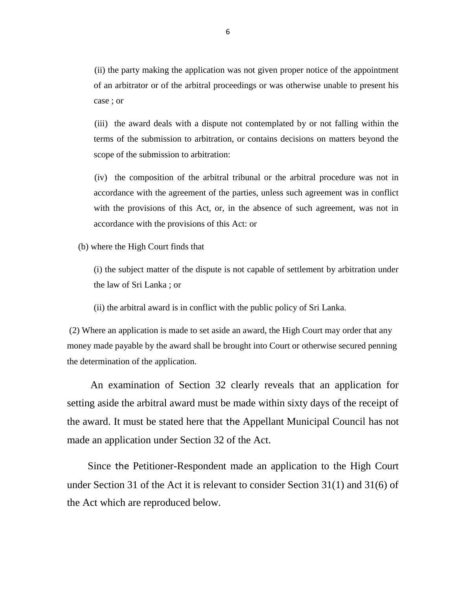(ii) the party making the application was not given proper notice of the appointment of an arbitrator or of the arbitral proceedings or was otherwise unable to present his case ; or

(iii) the award deals with a dispute not contemplated by or not falling within the terms of the submission to arbitration, or contains decisions on matters beyond the scope of the submission to arbitration:

(iv) the composition of the arbitral tribunal or the arbitral procedure was not in accordance with the agreement of the parties, unless such agreement was in conflict with the provisions of this Act, or, in the absence of such agreement, was not in accordance with the provisions of this Act: or

(b) where the High Court finds that

(i) the subject matter of the dispute is not capable of settlement by arbitration under the law of Sri Lanka ; or

(ii) the arbitral award is in conflict with the public policy of Sri Lanka.

(2) Where an application is made to set aside an award, the High Court may order that any money made payable by the award shall be brought into Court or otherwise secured penning the determination of the application.

 An examination of Section 32 clearly reveals that an application for setting aside the arbitral award must be made within sixty days of the receipt of the award. It must be stated here that the Appellant Municipal Council has not made an application under Section 32 of the Act.

 Since the Petitioner-Respondent made an application to the High Court under Section 31 of the Act it is relevant to consider Section 31(1) and 31(6) of the Act which are reproduced below.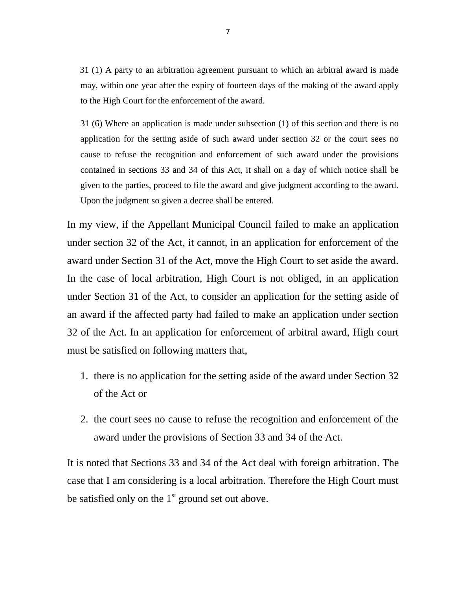31 (1) A party to an arbitration agreement pursuant to which an arbitral award is made may, within one year after the expiry of fourteen days of the making of the award apply to the High Court for the enforcement of the award.

 31 (6) Where an application is made under subsection (1) of this section and there is no application for the setting aside of such award under section 32 or the court sees no cause to refuse the recognition and enforcement of such award under the provisions contained in sections 33 and 34 of this Act, it shall on a day of which notice shall be given to the parties, proceed to file the award and give judgment according to the award. Upon the judgment so given a decree shall be entered.

In my view, if the Appellant Municipal Council failed to make an application under section 32 of the Act, it cannot, in an application for enforcement of the award under Section 31 of the Act, move the High Court to set aside the award. In the case of local arbitration, High Court is not obliged, in an application under Section 31 of the Act, to consider an application for the setting aside of an award if the affected party had failed to make an application under section 32 of the Act. In an application for enforcement of arbitral award, High court must be satisfied on following matters that,

- 1. there is no application for the setting aside of the award under Section 32 of the Act or
- 2. the court sees no cause to refuse the recognition and enforcement of the award under the provisions of Section 33 and 34 of the Act.

It is noted that Sections 33 and 34 of the Act deal with foreign arbitration. The case that I am considering is a local arbitration. Therefore the High Court must be satisfied only on the  $1<sup>st</sup>$  ground set out above.